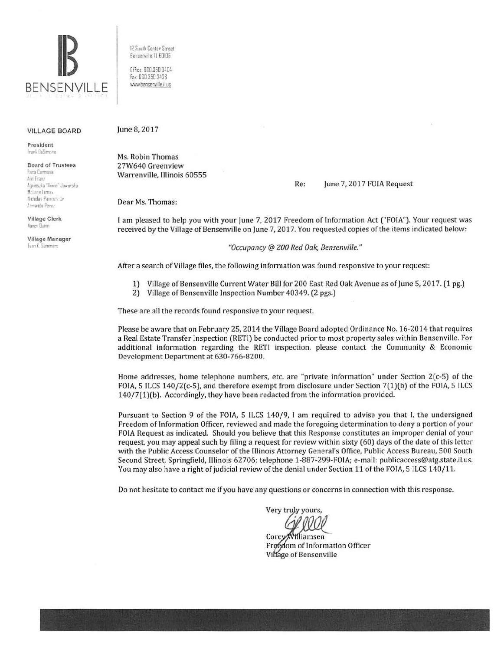

VILLAGE BOARD

President fr;irl UeS1,..o·e

Board of Trustees

**Rasa Carmonia 'ni f 11 U !•11n** .:..,:1 **Ann•c ... .laNo"'Sl-a**  Mrl ane loma. Nicholas Panicola Jr /,m,andn Per~1

Village Clerk Nancy Dunn

Village Manager **Evan K. Summers** 

12 Sou!h Center Street Bensenville IL 60106

Office. 630.350 3404 fa> 630 350 3438 www.bensenville.il.us

#### June 8, 2017

Ms. Robin Thomas 27W640 Greenview Warrenville, Illinois 60555

#### Re: June 7, 2017 FOIA Request

Dear Ms. Thomas:

I am pleased to help you with your June 7, 2017 Freedom of Information Act ("FOIA"). Your request was received by the Village of Bensenville on June 7, 2017. You requested copies of the items indicated below:

"Occupancy @ 200 Red Oak, Bensenville."

After a search of Village files, the following information was found responsive to your request:

- 1) Village of Bensenville Current Water Bill for 200 East Red Oak Avenue as of June 5, 2017. (1 pg.)
- 2) Village of Bensenville Inspection Number 40349. (2 pgs.)

These are all the records found responsive to your request.

Please be aware that on February 25, 2014 the Village Board adopted Ordinance No. 16·2014 that requires a Real Estate Transfer Inspection (RETI) be conducted prior to most property sales within Bensenville. For additional information regarding the RETI inspection, please contact the Community & Economic Development Department at 630-766-8200.

Home addresses, home telephone numbers, etc. are "private information" under Section 2(c-5) of the FOIA, 5 ILCS 140/2(c-5), and therefore exempt from disclosure under Section 7(1)(b) of the FOIA, 5 ILCS 140/7(1)(b). Accordingly, they have been redacted from the information provided.

Pursuant to Section 9 of the FOIA, 5 ILCS 140/9, I am required to advise you that I, the undersigned Freedom of Information Officer, reviewed and made the foregoing determination to deny a portion of your FOIA Request as indicated. Should you believe that this Response constitutes an improper denial of your request, you may appeal such by filing a request for review within sixty (60) days of the date of this letter with the Public Access Counselor of the Illinois Attorney General's Office, Public Access Bureau, 500 South Second Street, Springfield, Illinois 62706; telephone 1-887-299-FOIA; e-mail: publicaccess@atg.state.il.us. You may also have a right of judicial review of the denial under Section 11 of the FOIA, 5 ILCS 140/11.

Do not hesitate to contact me if you have any questions or concerns in connection with this response.

Very truly yours,

Corey Williamsen Freedom of Information Officer Village of Bensenville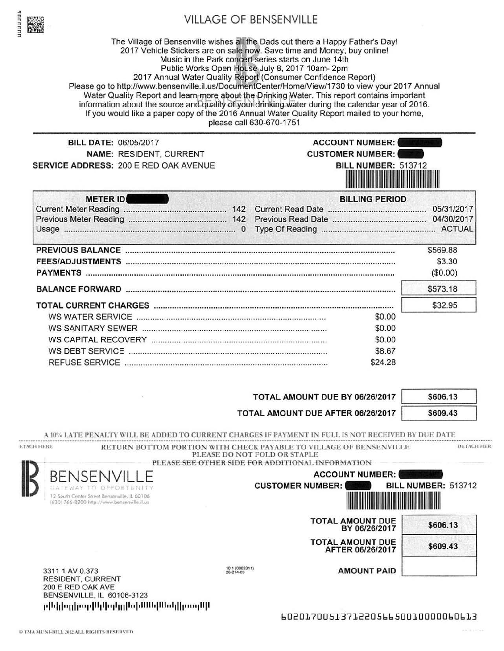

# VILLAGE OF BENSENVILLE

The Village of Bensenville wishes all the Dads out there a Happy Father's Day! 2017 Vehicle Stickers are on sale now. Save time and Money, buy online! Music in the Park concert series starts on June 14th Public Works Open House July 8, 2017 10am- 2pm 2017 Annual Water Quality Report (Consumer Confidence Report) Please go to http://www.bensenville.il.us/DocumentCenter/Home/View/1730 to view your 2017 Annual Water Quality Report and learn more about the Drinking Water. This report contains important information about the source and quality of your drinking water during the calendar year of 2016. If you would like a paper copy of the 2016 Annual Water Quality Report mailed to your home, please call 630-670-1751

NAME: RESIDENT, CURRENT SERVICE ADDRESS: 200 E RED OAK AVENUE

BILL DATE: 06/05/2017 **ACCOUNT NUMBER: CUSTOMER NUMBER:** BILL NUMBER: 513712 111111111111 111111111111111111111111111111 1111111111111

| <b>METER ID</b>              | <b>BILLING PERIOD</b> |          |
|------------------------------|-----------------------|----------|
| <b>Current Meter Reading</b> |                       |          |
|                              |                       |          |
| Usage                        |                       |          |
| <b>PREVIOUS BALANCE</b>      |                       | \$569.88 |
|                              |                       | \$3.30   |
| <b>PAYMENTS</b>              |                       | (\$0.00) |
|                              |                       | \$573.18 |
|                              |                       | \$32.95  |
| WS WATER SERVICE             | \$0.00                |          |
| WS SANITARY SEWER            | \$0.00                |          |
|                              | \$0.00                |          |
| WS DEBT SERVICE              | \$8.67                |          |
| <b>REFUSE SERVICE</b>        | \$24.28               |          |

| TOTAL AMOUNT DUE BY 06/26/2017    | \$606.13 |
|-----------------------------------|----------|
| TOTAL AMOUNT DUE AFTER 06/26/2017 | \$609.43 |

A 10% LATE PENALTY WILL BE ADDED TO CURRENT CHARGES IF PAYMENT IN FULL IS NOT RECEIVED BY DUE DATE

ETACH HERE RETURN BOTTOM PORTION WITH CHECK PAYABLE TO VILLAGE OF BENSENVILLE PLEASE DO NOT FOLD OR STAPLE DETACH HER





RESIDENT, CURRENT 200 E RED OAK AVE BENSENVILLE, IL 60106-3123 ր[եկիսցիար[Ալկսվցլ]եվ ԱԱլ|Սեվ]իստղՍի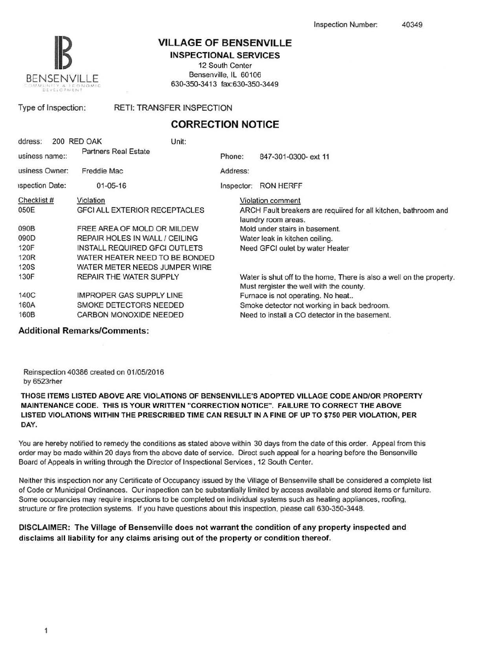

### VILLAGE OF BENSENVILLE

INSPECTIONAL SERVICES 12 South Center

Bensenville, IL 60106 630-350-3413 fax:630-350-3449

Type of Inspection: RETI: TRANSFER INSPECTION

## CORRECTION NOTICE

| ddress:                | 200 RED OAK                 | Unit:                                |            |                                                                                                                  |
|------------------------|-----------------------------|--------------------------------------|------------|------------------------------------------------------------------------------------------------------------------|
| usiness name::         | <b>Partners Real Estate</b> |                                      | Phone:     | 847-301-0300- ext 11                                                                                             |
| usiness Owner:         | Freddie Mac                 |                                      | Address:   |                                                                                                                  |
| <b>ispection Date:</b> | $01 - 05 - 16$              |                                      | Inspector: | <b>RON HERFF</b>                                                                                                 |
| Checklist #            | Violation                   |                                      |            | Violation comment                                                                                                |
| 050E                   |                             | <b>GFCI ALL EXTERIOR RECEPTACLES</b> |            | ARCH Fault breakers are requiired for all kitchen, bathroom and<br>laundry room areas.                           |
| 090B                   |                             | FREE AREA OF MOLD OR MILDEW          |            | Mold under stairs in basement.                                                                                   |
| 090D                   |                             | REPAIR HOLES IN WALL / CEILING       |            | Water leak in kitchen ceiling.                                                                                   |
| 120F                   |                             | INSTALL REQUIRED GFCI OUTLETS        |            | Need GFCI oulet by water Heater                                                                                  |
| 120 <sub>R</sub>       |                             | WATER HEATER NEED TO BE BONDED.      |            |                                                                                                                  |
| <b>120S</b>            |                             | WATER METER NEEDS JUMPER WIRE        |            |                                                                                                                  |
| 130F                   |                             | REPAIR THE WATER SUPPLY              |            | Water is shut off to the home, There is also a well on the property.<br>Must rergister the well with the county. |
| 140C                   |                             | <b>IMPROPER GAS SUPPLY LINE</b>      |            | Furnace is not operating. No heat                                                                                |
| 160A                   |                             | SMOKE DETECTORS NEEDED               |            | Smoke detector not working in back bedroom.                                                                      |
| 160B                   |                             | CARBON MONOXIDE NEEDED               |            | Need to install a CO detector in the basement.                                                                   |

Additional Remarks/Comments:

Reinspection 40386 created on 01/05/2016 by 6523rher

THOSE ITEMS LISTED ABOVE ARE VIOLATIONS OF BENSENVILLE'S ADOPTED VILLAGE CODE AND/OR PROPERTY MAINTENANCE CODE. THIS IS YOUR WRITTEN "CORRECTION NOTICE". FAILURE TO CORRECT THE ABOVE LISTED VIOLATIONS WITHIN THE PRESCRIBED TIME CAN RESULT IN A FINE OF UP TO \$750 PER VIOLATION, PER DAY.

You are hereby notified to remedy the conditions as stated above within 30 days from the date of this order. Appeal from this order may be made within 20 days from the above date of service. Direct such appeal for a hearing before the Bensenville Board of Appeals in writing through the Director of lnspectional Services. 12 South Center.

Neither this inspection nor any Certificate of Occupancy issued by the Village of Bensenville shall be considered a complete list of Code or Municipal Ordinances. Our inspection can be substantially limited by access available and stored items or furniture. Some occupancies may require inspections to be completed on individual systems such as heating appliances, roofing, structure or fire protection systems. If you have questions about this inspection, please call 630-350-3448.

#### DISCLAIMER: The Village of Bensenville does not warrant the condition of any property inspected and disclaims all liability for any claims arising out of the property or condition thereof.